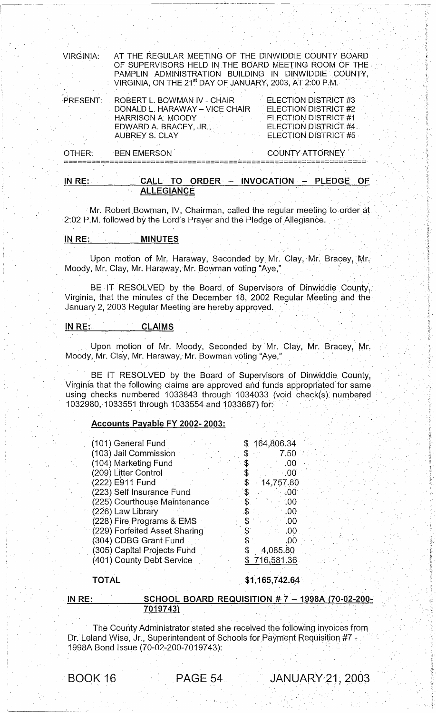| OTHER:<br>IN RE: | <b>BEN EMERSON</b>                                                                                                                                                                                                                           | <b>COUNTY ATTORNEY</b><br>CALL TO ORDER - INVOCATION - PLEDGE OF                                                     |
|------------------|----------------------------------------------------------------------------------------------------------------------------------------------------------------------------------------------------------------------------------------------|----------------------------------------------------------------------------------------------------------------------|
| PRESENT:         | ROBERT L. BOWMAN IV - CHAIR<br>DONALD L. HARAWAY - VICE CHAIR<br><b>HARRISON A. MOODY</b><br>EDWARD A. BRACEY, JR.,<br>AUBREY S. CLAY                                                                                                        | ELECTION DISTRICT #3<br>ELECTION DISTRICT #2<br>ELECTION DISTRICT #1<br>ELECTION DISTRICT #4<br>ELECTION DISTRICT #5 |
| <b>VIRGINIA:</b> | AT THE REGULAR MEETING OF THE DINWIDDIE COUNTY BOARD<br>OF SUPERVISORS HELD IN THE BOARD MEETING ROOM OF THE<br>PAMPLIN ADMINISTRATION BUILDING IN DINWIDDIE COUNTY,<br>VIRGINIA, ON THE 21 <sup>st</sup> DAY OF JANUARY, 2003, AT 2:00 P.M. |                                                                                                                      |

Mr. Robert Bowman, IV, Chairman, called the regular meeting to order at 2:02 P.M. followed by the Lord's Prayer and the Pledge of Allegiance.

# IN RE: MINUTES

\_~ \_\_\_\_ ~\_~ \_\_\_\_\_ -:--\_~ \_\_\_\_\_\_\_\_ L \_\_\_\_\_\_ , \_\_\_\_\_\_\_ \_

Upon motion of Mr. Haraway, Seconded by Mr. Clay, Mr. Bracey, Mr. Moody, Mr. Clay, Mr. Haraway, Mr. Bowman voting "Aye,"

BE IT RESOLVED by the Board of Supervisors of Dinwiddie County, Virginia, that the minutes of the December 18, 2002 Regular Meeting and the January 2, 2003 Regular Meeting are hereby approved.

# IN RE: CLAIMS

Upon motion of Mr. Moody, Seconded by Mr. Clay, Mr. Bracey, Mr. Moody, Mr. Clay, Mr. Haraway, Mr. Bowman voting "Aye,"

BE IT RESOLVED by the Board of Supervisors of Dinwiddie County, Virginia that the following claims are approved and funds appropriated for same using checks numbered 1033843 through 1034033 (void check(s), numbered Virginia that the following claims are approved and funds appropriated for s<br>using checks\_numbered\_1033843\_through\_1034033\_(void\_check(s), numb<br>1032980, 1033551 through 1033554 and 1033687) for:

# Accounts Payable FY 2002- 2003:

| (101) General Fund            | \$164,806.34 |
|-------------------------------|--------------|
| (103) Jail Commission         | 7.50         |
| (104) Marketing Fund          | .00          |
| (209) Litter Control          | .00          |
| (222) E911 Fund               | 14,757.80    |
| (223) Self Insurance Fund     | 00،          |
| (225) Courthouse Maintenance  | .00          |
| (226) Law Library             | .00.         |
| (228) Fire Programs & EMS     | .00          |
| (229) Forfeited Asset Sharing | .00          |
| (304) CDBG Grant Fund         | .00          |
| (305) Capital Projects Fund   | 4,085.80     |
| (401) County Debt Service     | 716,581.36   |

#### TOTAL\_

 $$1,165,742.64$ 

# <u>IN RE: SCHOOL BOARD REQUISITION # 7 - 1998A (70-02-200-</u><br>7019743)

The County Administrator stated she received the following invoices from ' Dr. Leland Wise, Jr., Superintendent of Schools for Payment Requisition #7 -1998A Bond Issue (70-02-200-7019743):

BOOK 16 PAGE 54 JANUARY 21, 2003

 $^{\circ}$  .  $^{\circ}$ 

,', "

. i; i,  $\ddot{\phantom{a}}$ - ,;

> "; ,.

. ,,~

l,.,

 $~\cdot~$  1.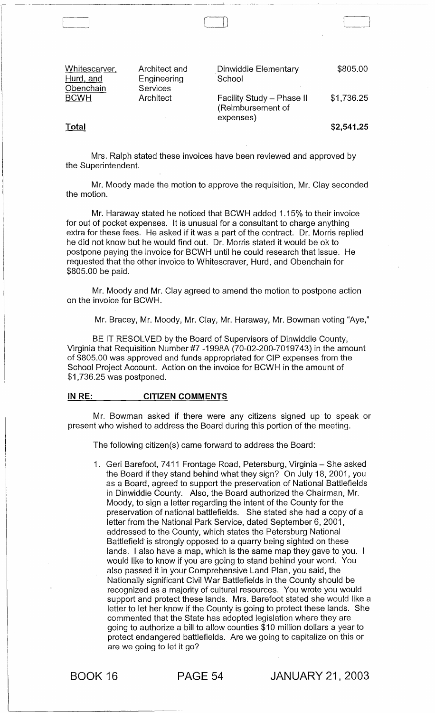| Whitescarver, | Architect and | Dinwiddie Elementary      | \$805.00   |
|---------------|---------------|---------------------------|------------|
| Hurd, and     | Engineering   | School                    |            |
| Obenchain     | Services      | Facility Study - Phase II | \$1,736.25 |
| <b>BCWH</b>   | Architect     | (Reimbursement of         |            |
| Total         |               | expenses)                 | \$2,541.25 |

 $\sqcup$ 

Mrs. Ralph stated these invoices have been reviewed and approved by the Superintendent.

Mr. Moody made the motion to approve the requisition, Mr. Clay seconded the motion.

Mr. Haraway stated he noticed that BCWH added 1.15% to their invoice for out of pocket expenses. It is unusual for a consultant to charge anything extra for these fees. He asked if it was a part of the contract. Dr. Morris replied he did not know but he would find out. Dr. Morris stated it would be ok to postpone paying the invoice for BCWH until he could research that issue. He requested that the other invoice to Whitescraver, Hurd, and Obenchain for \$805.00 be paid.

Mr. Moody and Mr. Clay agreed to amend the motion to postpone action on the invoice for BCWH.

Mr. Bracey, Mr. Moody, Mr. Clay, Mr. Haraway, Mr. Bowman voting "Aye,"

BE IT RESOLVED by the Board of Supervisors of Dinwiddie County, Virginia that Requisition Number #7 -1 998A (70-02-200-7019743) in the amount of \$805.00 was approved and funds appropriated for CIP expenses from the School Project Account. Action on the invoice for BCWH in the amount of \$1,736.25 was postponed.

#### IN RE: CITIZEN COMMENTS

--------------

Mr. Bowman asked if there were any citizens signed up to speak or present who wished to address the Board during this portion of the meeting.

The following citizen(s) came forward to address the Board:

1. Geri Barefoot, 7411 Frontage Road, Petersburg, Virginia - She asked the Board if they stand behind what they sign? On July 18, 2001, you as a Board, agreed to support the preservation of National Battlefields in Dinwiddie County. Also, the Board authorized the Chairman, Mr. Moody, to sign a letter regarding the intent of the County for the preservation of national battlefields. She stated she had a copy of a letter from the National Park Service, dated September 6, 2001, addressed to the County, which states the Petersburg National Battlefield is strongly opposed to a quarry being sighted on these lands. I also have a map, which is the same map they gave to you. I would like to know if you are going to stand behind your word. You also passed it in your Comprehensive Land Plan, you said, the Nationally significant Civil War Battlefields in the County should be recognized as a majority of cultural resources. You wrote you would support and protect these lands. Mrs. Barefoot stated she would like a letter to let her know if the County is going to protect these lands. She commented that the State has adopted legislation where they are going to authorize a bill to allow counties \$10 million dollars a year to protect endangered battlefields. Are we going to capitalize on this or are we going to let it go?

BOOK 16 PAGE 54 JANUARY 21, 2003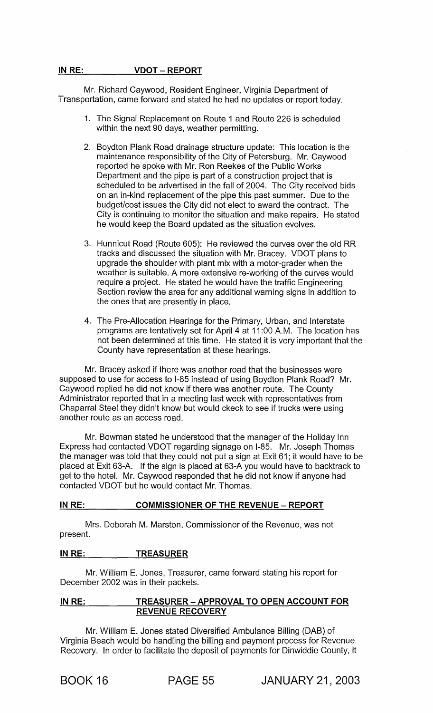#### IN RE: VDOT – REPORT

Mr. Richard Caywood, Resident Engineer, Virginia Department of Transportation, came forward and stated he had no updates or report today.

- 1. The Signal Replacement on Route 1 and Route 226 is scheduled within the next 90 days, weather permitting.
- 2. Boydton Plank Road drainage structure update: This location is the maintenance responsibility of the City of Petersburg. Mr. Caywood reported he spoke with Mr. Ron Reekes of the Public Works Department and the pipe is part of a construction project that is scheduled to be advertised in the fall of 2004. The City received bids on an in-kind replacement of the pipe this past summer. Due to the budget/cost issues the City did not elect to award the contract. The City is continuing to monitor the situation and make repairs. He stated he would keep the Board updated as the situation evolves.
- 3. Hunnicut Road (Route 605): He reviewed the curves over the old RR tracks and discussed the situation with Mr. Bracey. VDOT plans to upgrade the shoulder with plant mix with a motor-grader when the weather is suitable. A more extensive re-working of the curves would require a project. He stated he would have the traffic Engineering Section review the area for any additional warning signs in addition to the ones that are presently in place.
- 4. The Pre-Allocation Hearings for the Primary, Urban, and Interstate programs are tentatively set for April 4 at 11 :00 A.M. The location has not been determined at this time. He stated it is very important that the County have representation at these hearings.

Mr. Bracey asked if there was another road that the businesses were supposed to use for access to 1-85 instead of using Boydton Plank Road? Mr. Caywood replied he did not know if there was another route. The County Administrator reported that in a meeting last week with representatives from Chaparral Steel they didn't know but would ckeck to see if trucks were using another route as an access road.

Mr. Bowman stated he understood that the manager of the Holiday Inn Express had contacted VDOT regarding signage on 1-85. Mr. Joseph Thomas the manager was told that they could not put a sign at Exit 61; it would have to be placed at Exit 63-A. If the sign is placed at 63-A you would have to backtrack to get to the hotel. Mr. Caywood responded that he did not know if anyone had contacted VDOT but he would contact Mr. Thomas.

# IN RE: COMMISSIONER OF THE REVENUE - REPORT

Mrs. Deborah M. Marston, Commissioner of the Revenue, was not present.

# IN RE: TREASURER

Mr. William E. Jones, Treasurer, came forward stating his report for December 2002 was in their packets.

# IN RE: TREASURER - APPROVAL TO OPEN ACCOUNT FOR REVENUE RECOVERY

Mr. William E. Jones stated Diversified Ambulance Billing (DAB) of Virginia Beach would be handling the billing and payment process for Revenue Recovery. In order to facilitate the deposit of payments for Dinwiddie County, it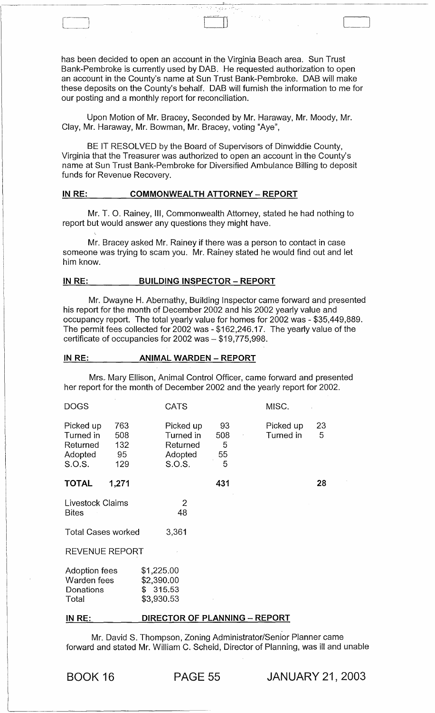has been decided to open an account in the Virginia Beach area. Sun Trust Bank-Pembroke is currently used by DAB. He requested authorization to open an account in the County's name at Sun Trust Bank-Pembroke. DAB will make these deposits on the County's behalf. DAB will furnish the information to me for our posting and a monthly report for reconciliation.

 $\sim$   $\sim$ 

Upon Motion of Mr. Bracey, Seconded by Mr. Haraway, Mr. Moody, Mr. Clay, Mr. Haraway, Mr. Bowman, Mr. Bracey, voting "Aye",

BE IT RESOLVED by the Board of Supervisors of Dinwiddie County, Virginia that the Treasurer was authorized to open an account in the County's name at Sun Trust Bank-Pembroke for Diversified Ambulance Billing to deposit funds for Revenue Recovery.

#### **IN RE: COMMONWEALTH ATTORNEY - REPORT**

 $\begin{pmatrix} 1 & 1 & 1 \\ 1 & 1 & 1 \\ 1 & 1 & 1 \end{pmatrix}$ 

Mr. T. O. Rainey, III, Commonwealth Attorney, stated he had nothing to report but would answer any questions they might have.

Mr. Bracey asked Mr. Rainey if there was a person to contact in case someone was trying to scam you. Mr. Rainey stated he would find out and let him know.

#### **IN RE: BUILDING INSPECTOR - REPORT**

Mr. Dwayne H. Abernathy, Building Inspector came forward and presented his report for the month of December 2002 and his 2002 yearly value and occupancy report. The total yearly value for homes for 2002 was - \$35,449,889. The permit fees collected for 2002 was - \$162,246.17. The yearly value of the certificate of occupancies for 2002 was - \$19,775,998.

#### **IN RE: ANIMAL WARDEN - REPORT**

Mrs. Mary Ellison, Animal Control Officer, came forward and presented her report for the month of December 2002 and the yearly report for 2002.

| <b>DOGS</b>                                               |                                | <b>CATS</b>                                             |                           | MISC.                  |         |
|-----------------------------------------------------------|--------------------------------|---------------------------------------------------------|---------------------------|------------------------|---------|
| Picked up<br>Turned in<br>Returned<br>Adopted<br>S.O.S.   | 763<br>508<br>132<br>95<br>129 | Picked up<br>Turned in<br>Returned<br>Adopted<br>S.O.S. | 93<br>508<br>5<br>55<br>5 | Picked up<br>Turned in | 23<br>5 |
| <b>TOTAL</b>                                              | 1,271                          |                                                         | 431                       |                        | 28      |
| Livestock Claims<br><b>Bites</b>                          |                                | $\overline{2}$<br>48                                    |                           |                        |         |
| <b>Total Cases worked</b>                                 |                                | 3,361                                                   |                           |                        |         |
| <b>REVENUE REPORT</b>                                     |                                |                                                         |                           |                        |         |
| <b>Adoption fees</b><br>Warden fees<br>Donations<br>Total |                                | \$1,225.00<br>\$2,390.00<br>\$315.53<br>\$3,930.53      |                           |                        |         |

#### **IN RE: DIRECTOR OF PLANNING - REPORT**

Mr. David S. Thompson, Zoning Administrator/Senior Planner came forward and stated Mr. William C. Scheid, Director of Planning, was ill and unable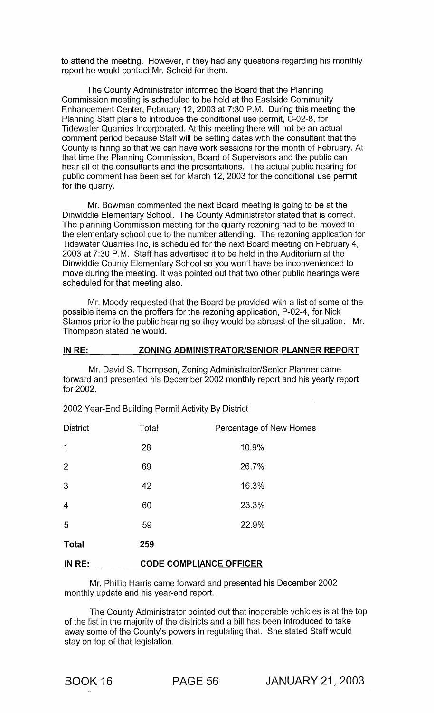to attend the meeting. However, if they had any questions regarding his monthly report he would contact Mr. Scheid for them.

The County Administrator informed the Board that the Planning Commission meeting is scheduled to be held at the Eastside Community Enhancement Center, February 12, 2003 at 7:30 P.M. During this meeting the Planning Staff plans to introduce the conditional use permit, C-02-8, for Tidewater Quarries Incorporated. At this meeting there will not be an actual comment period because Staff will be setting dates with the consultant that the County is hiring so that we can have work sessions for the month of February. At that time the Planning Commission, Board of Supervisors and the public can hear all of the consultants and the presentations. The actual public hearing for public comment has been set for March 12, 2003 for the conditional use permit for the quarry.

Mr. Bowman commented the next Board meeting is going to be at the Dinwiddie Elementary School. The County Administrator stated that is correct. The planning Commission meeting for the quarry rezoning had to be moved to the elementary school due to the number attending. The rezoning application for Tidewater Quarries Inc, is scheduled for the next Board meeting on February 4, 2003 at 7:30 P.M. Staff has advertised it to be held in the Auditorium at the Dinwiddie County Elementary School so you won't have be inconvenienced to move during the meeting. It was pointed out that two other public hearings were scheduled for that meeting also.

Mr. Moody requested that the Board be provided with a list of some of the possible items on the proffers for the rezoning application, P-02-4, for Nick Stamos prior to the public hearing so they would be abreast of the situation. Mr. Thompson stated he would.

#### IN RE: ZONING ADMINISTRATOR/SENIOR PLANNER REPORT

Mr. David S. Thompson, Zoning Administrator/Senior Planner came forward and presented his December 2002 monthly report and his yearly report for 2002.

| <b>District</b> | Total | Percentage of New Homes        |  |  |
|-----------------|-------|--------------------------------|--|--|
| 1               | 28    | 10.9%                          |  |  |
| $\overline{2}$  | 69    | 26.7%                          |  |  |
| 3               | 42    | 16.3%                          |  |  |
| $\overline{4}$  | 60    | 23.3%                          |  |  |
| 5               | 59    | 22.9%                          |  |  |
| <b>Total</b>    | 259   |                                |  |  |
| IN RE:          |       | <b>CODE COMPLIANCE OFFICER</b> |  |  |

2002 Year-End Building Permit Activity By District

Mr. Phillip Harris came forward and presented his December 2002 monthly update and his year-end report.

The County Administrator pointed out that inoperable vehicles is at the top of the list in the majority of the districts and a bill has been introduced to take away some of the County's powers in regulating that. She stated Staff would stay on top of that legislation.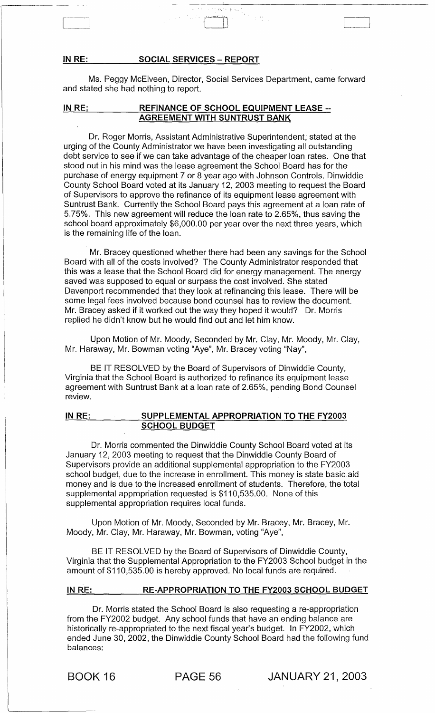#### **IN** RE: **SOCIAL SERVICES - REPORT**

---------------------------

Ms. Peggy McElveen, Director, Social Services Department, came forward and stated she had nothing to report.

# **IN** RE: **REFINANCE OF SCHOOL EQUIPMENT LEASE -- AGREEMENT WITH SUNTRUST BANK**

Dr. Roger Morris, Assistant Administrative Superintendent; stated at the urging of the County Administrator we have been investigating all outstanding debt service to see if we can take advantage of the cheaper loan rates. One that stood out in his mind was the lease agreement the School Board has for the purchase of energy equipment 7 or 8 year ago with Johnson Controls. Dinwiddie County School Board voted at its January 12, 2003 meeting to request the Board of Supervisors to approve the refinance of its equipment lease agreement with Suntrust Bank. Currently the School Board pays this agreement at a loan rate of 5.75%. This new agreement will reduce the loan rate to 2.65%, thus saving the school board approximately \$6,000.00 per year over the next three years, which is the remaining life of the loan.

Mr. Bracey questioned whether there had been any savings for the School Board with all of the costs involved? The County Administrator responded that this was a lease that the School Board did for energy management. The energy saved was supposed to equal or surpass the cost involved. She stated Davenport recommended that they look at refinancing this lease. There will be some legal fees involved because bond counsel has to review the document. Mr. Bracey asked if it worked out the way they hoped it would? Dr. Morris replied he didn't know but he would find out and let him know.

Upon Motion of Mr. Moody, Seconded by Mr. Clay, Mr. Moody, Mr. Clay, Mr. Haraway, Mr. Bowman voting "Aye", Mr. Bracey voting "Nay",

BE IT RESOLVED by the Board of Supervisors of Dinwiddie County, Virginia that the School Board is authorized to refinance its equipment lease agreement with Suntrust Bank at a loan rate of 2.65%, pending Bond Counsel review.

#### **IN** RE: **SUPPLEMENTAL APPROPRIATION TO THE** FY2003 **SCHOOL BUDGET**

Dr. Morris commented the Dinwiddie County School Board voted at its January 12, 2003 meeting to request that the Dinwiddie County Board of Supervisors provide an additional supplemental appropriation to the FY2003 school budget, due to the increase in enrollment. This money is state basic aid money and is due to the increased enrollment of students. Therefore, the total supplemental appropriation requested is \$110,535.00. None of this supplemental appropriation requires local funds.

Upon Motion of Mr. Moody, Seconded by Mr. Bracey, Mr. Bracey, Mr. Moody, Mr. Clay, Mr. Haraway, Mr. Bowman, voting "Aye",

BE IT RESOLVED by the Board of Supervisors of Dinwiddie County, Virginia that the Supplemental Appropriation to the FY2003 School budget in the amount of \$110,535.00 is hereby approved. No local funds are required.

#### **IN** RE: **RE-APPROPRIATION TO THE** FY2003 **SCHOOL BUDGET**

Dr. Morris stated the School Board is also requesting a re-appropriation from the FY2002 budget. Any school funds that have an ending balance are historically re-appropriated to the next fiscal year's budget. In FY2002, which ended June 30, 2002, the Dinwiddie County School Board had the following fund balances:

BOOK 16 PAGE 56 JANUARY 21, 2003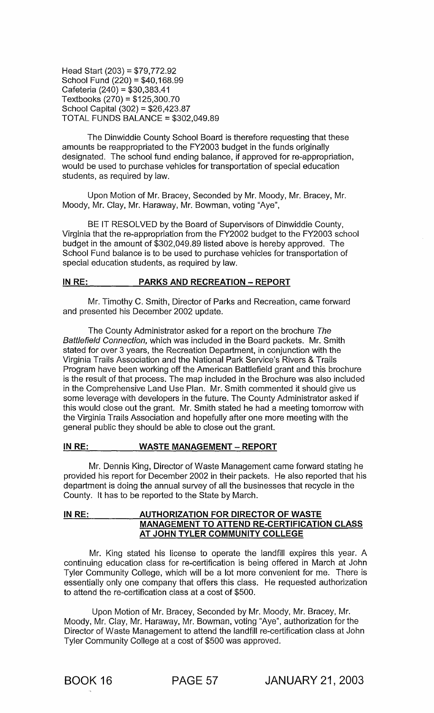Head Start (203) = \$79,772.92 School Fund (220) = \$40,168.99 Cafeteria (240) = \$30,383.41 Textbooks (270) = \$125,300.70 School Capital (302) = \$26,423.87 TOTAL FUNDS BALANCE = \$302,049.89

The Dinwiddie County School Board is therefore requesting that these amounts be reappropriated to the FY2003 budget in the funds originally designated. The school fund ending balance, if approved for re-appropriation, would be used to purchase vehicles for transportation of special education students, as required by law.

Upon Motion of Mr. Bracey, Seconded by Mr. Moody, Mr. Bracey, Mr. Moody, Mr. Clay, Mr. Haraway, Mr. Bowman, voting "Aye",

BE IT RESOLVED by the Board of Supervisors of Dinwiddie County, Virginia that the re-appropriation from the FY2002 budget to the FY2003 school budget in the amount of \$302,049.89 listed above is hereby approved. The School Fund balance is to be used to purchase vehicles for transportation of special education students, as required by law.

# **IN RE: PARKS AND RECREATION - REPORT**

Mr. Timothy C. Smith, Director of Parks and Recreation, came forward and presented his December 2002 update.

The County Administrator asked for a report on the brochure The Battlefield Connection, which was included in the Board packets. Mr. Smith stated for over 3 years, the Recreation Department, in conjunction with the Virginia Trails Association and the National Park Service's Rivers & Trails Program have been working off the American Battlefield grant and this brochure is the result of that process. The map included in the Brochure was also included in the Comprehensive Land Use Plan. Mr. Smith commented it should give us some leverage with developers in the future. The County Administrator asked if this would close out the grant. Mr. Smith stated he had a meeting tomorrow with the Virginia Trails Association and hopefully after one more meeting with the general public they should be able to close out the grant.

# **INRE: WASTE MANAGEMENT - REPORT**

Mr. Dennis King, Director of Waste Management came forward stating he provided his report for December 2002 in their packets. He also reported that his department is doing the annual survey of all the businesses that recycle in the County. It has to be reported to the State by March.

# **IN RE: AUTHORIZATION FOR DIRECTOR OF WASTE MANAGEMENT TO ATTEND RE-CERTIFICATION CLASS AT JOHN TYLER COMMUNITY COLLEGE**

Mr. King stated his license to operate the landfill expires this year. A continuing education class for re-certification is being offered in March at John Tyler Community College, which will be a lot more convenient for me. There is essentially only one company that offers this class. He requested authorization to attend the re-certification class at a cost of \$500.

Upon Motion of Mr. Bracey, Seconded by Mr. Moody, Mr. Bracey, Mr. Moody, Mr. Clay, Mr. Haraway, Mr. Bowman, voting "Aye", authorization for the Director of Waste Management to attend the landfill re-certification class at John Tyler Community College at a cost of \$500 was approved.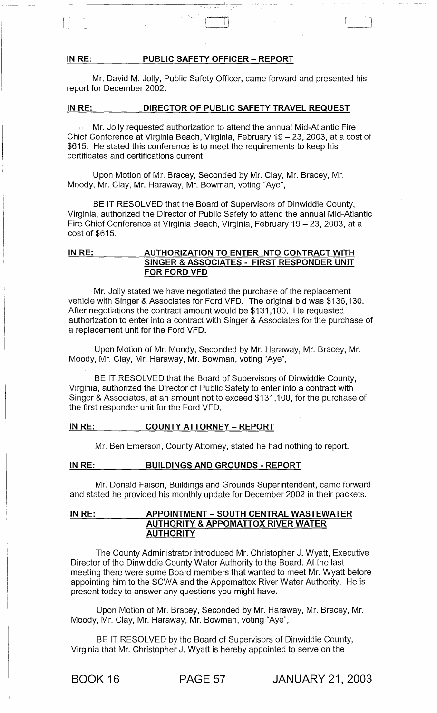#### **IN** RE: **PUBLIC SAFETY OFFICER - REPORT**

 $\overline{\phantom{0}}$ 

Mr. David M. Jolly, Public Safety Officer, came forward and presented his report for December 2002.

#### **IN** RE: **DIRECTOR OF PUBLIC SAFETY TRAVEL REQUEST**

Mr. Jolly requested authorization to attend the annual Mid-Atlantic Fire Chief Conference at Virginia Beach, Virginia, February  $19 - 23$ , 2003, at a cost of \$615. He stated this conference is to meet the requirements to keep his certificates and certifications current.

Upon Motion of Mr. Bracey, Seconded by Mr. Clay, Mr. Bracey, Mr. Moody, Mr. Clay, Mr. Haraway, Mr. Bowman, voting "Aye",

BE IT RESOLVED that the Board of Supervisors of Dinwiddie County, Virginia, authorized the Director of Public Safety to attend the annual Mid-Atlantic Fire Chief Conference at Virginia Beach, Virginia, February 19 - 23, 2003, at a cost of \$615.

## **IN** RE: **AUTHORIZATION TO ENTER INTO CONTRACT WITH SINGER & ASSOCIATES - FIRST RESPONDER UNIT FOR FORD VFD**

Mr. Jolly stated we have negotiated the purchase of the replacement vehicle with Singer & Associates for Ford VFD. The original bid was \$136,130. After negotiations the contract amount would be \$131,100. He requested authorization to enter into a contract with Singer & Associates for the purchase of a replacement unit for the Ford VFD.

Upon Motion of Mr. Moody, Seconded by Mr. Haraway, Mr. Bracey, Mr. Moody, Mr. Clay, Mr. Haraway, Mr. Bowman, voting "Aye",

BE IT RESOLVED that the Board of Supervisors of Dinwiddie County, Virginia, authorized the Director of Public Safety to enter into a contract with Singer & Associates, at an amount not to exceed \$131,100, for the purchase of the first responder unit for the Ford VFD.

#### **IN** RE: **COUNTY ATTORNEY - REPORT**

Mr. Ben Emerson, County Attorney, stated he had nothing to report.

#### **IN** RE: **BUILDINGS AND GROUNDS - REPORT**

Mr. Donald Faison, Buildings and Grounds Superintendent, came forward and stated he provided his monthly update for December 2002 in their packets.

# **IN** RE: **APPOINTMENT - SOUTH CENTRAL WASTEWATER AUTHORITY & APPOMATTOX RIVER WATER AUTHORITY**

The County Administrator introduced Mr. Christopher J. Wyatt, Executive Director of the Dinwiddie County Water Authority to the Board. At the last meeting there were some Board members that wanted to meet Mr. Wyatt before appointing him to the SCWA and the Appomattox River Water Authority. He is present today to answer any questions you might have.

Upon Motion of Mr. Bracey, Seconded by Mr. Haraway, Mr. Bracey, Mr. Moody, Mr. Clay, Mr. Haraway, Mr. Bowman, voting "Aye",

BE IT RESOLVED by the Board of Supervisors of Dinwiddie County, Virginia that Mr. Christopher J. Wyatt is hereby appointed to serve on the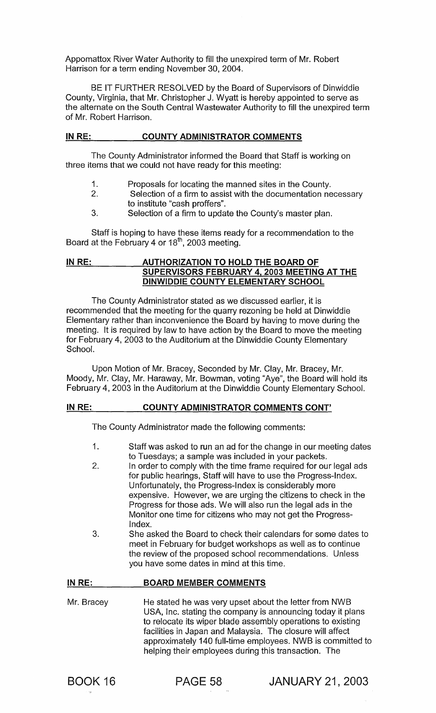Appomattox River Water Authority to fill the unexpired term of Mr. Robert Harrison for a term ending November 30, 2004.

BE IT FURTHER RESOLVED by the Board of Supervisors of Dinwiddie County, Virginia, that Mr. Christopher J. Wyatt is hereby appointed to serve as the alternate on the South Central Wastewater Authority to fill the unexpired term of Mr. Robert Harrison.

# IN RE: COUNTY ADMINISTRATOR COMMENTS

The County Administrator informed the Board that Staff is working on three items that we could not have ready for this meeting:

- 1. Proposals for locating the manned sites in the County.
- 2. Selection of a firm to assist with the documentation necessary to institute "cash proffers".
- 3. Selection of a firm to update the County's master plan.

Staff is hoping to have these items ready for a recommendation to the Board at the February 4 or  $18<sup>th</sup>$ , 2003 meeting.

# IN RE: AUTHORIZATION TO HOLD THE BOARD OF SUPERVISORS FEBRUARY 4,2003 MEETING AT THE DINWIDDIE COUNTY ELEMENTARY SCHOOL

The County Administrator stated as we discussed earlier, it is recommended that the meeting for the quarry rezoning be held at Dinwiddie Elementary rather than inconvenience the Board by having to move during the meeting. It is required by law to have action by the Board to move the meeting for February 4, 2003 to the Auditorium at the Dinwiddie County Elementary School.

Upon Motion of Mr. Bracey, Seconded by Mr. Clay, Mr. Bracey, Mr. Moody, Mr. Clay, Mr. Haraway, Mr. Bowman, voting "Aye", the Board will hold its February 4, 2003 in the Auditorium at the Dinwiddie County Elementary School.

# IN RE: COUNTY ADMINISTRATOR COMMENTS CONT'

The County Administrator made the following comments:

- 1. Staff was asked to run an ad for the change in our meeting dates to Tuesdays; a sample was included in your packets.
- 2. In order to comply with the time frame required for our legal ads for public hearings, Staff will have to use the Progress-Index. Unfortunately, the Progress-Index is considerably more expensive. However, we are urging the citizens to check in the Progress for those ads. We will also run the legal ads in the Monitor one time for citizens who may not get the Progress-Index.
- 3. She asked the Board to check their calendars for some dates to meet in February for budget workshops as well as to continue the review of the proposed school recommendations. Unless you have some dates in mind at this time.

#### IN RE: BOARD MEMBER COMMENTS

Mr. Bracey He stated he was very upset about the letter from NWB USA, Inc. stating the company is announcing today it plans to relocate its wiper blade assembly operations to existing facilities in Japan and Malaysia. The closure will affect approximately 140 full-time employees. NWB is committed to helping their employees during this transaction. The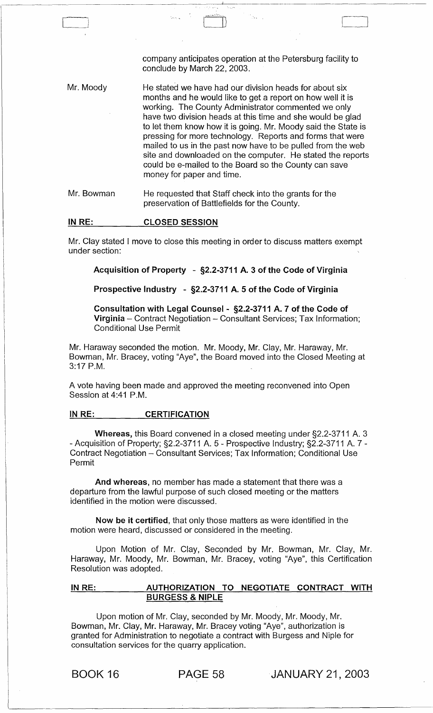|            | company anticipates operation at the Petersburg facility to<br>conclude by March 22, 2003.                                                                                                                                                                                                                                                                                                                                                                                                                                                                                                 |
|------------|--------------------------------------------------------------------------------------------------------------------------------------------------------------------------------------------------------------------------------------------------------------------------------------------------------------------------------------------------------------------------------------------------------------------------------------------------------------------------------------------------------------------------------------------------------------------------------------------|
| Mr. Moody  | He stated we have had our division heads for about six<br>months and he would like to get a report on how well it is<br>working. The County Administrator commented we only<br>have two division heads at this time and she would be glad<br>to let them know how it is going. Mr. Moody said the State is<br>pressing for more technology. Reports and forms that were<br>mailed to us in the past now have to be pulled from the web<br>site and downloaded on the computer. He stated the reports<br>could be e-mailed to the Board so the County can save<br>money for paper and time. |
| Mr. Bowman | He requested that Staff check into the grants for the<br>preservation of Battlefields for the County.                                                                                                                                                                                                                                                                                                                                                                                                                                                                                      |

#### IN RE: CLOSED SESSION

 $\begin{array}{|c|c|c|c|c|}\hline \quad \quad & \quad \quad & \quad \quad & \quad \quad \\ \hline \quad \quad & \quad \quad & \quad \quad & \quad \quad \\ \hline \quad \quad & \quad \quad & \quad \quad & \quad \quad \\ \hline \end{array}$ 

Mr. Clay stated I move to close this meeting in order to discuss matters exempt under section:

# Acquisition of Property - §2.2-3711 A. 3 of the Code of Virginia

### Prospective Industry - §2.2-3711 A. 5 of the Code of Virginia

Consultation with Legal Counsel - §2.2-3711 A. 7 of the Code of Virginia - Contract Negotiation - Consultant Services; Tax Information; Conditional Use Permit

Mr. Haraway seconded the motion. Mr. Moody, Mr. Clay, Mr. Haraway, Mr. Bowman, Mr. Bracey, voting "Aye", the Board moved into the Closed Meeting at 3:17 P.M.

A vote having been made and approved the meeting reconvened into Open Session at 4:41 P.M.

# IN RE: CERTIFICATION

Whereas, this Board convened in a closed meeting under §2.2-3711 A. 3 - Acquisition of Property; §2.2-3711 A. 5 - Prospective Industry; §2.2-3711 A. 7 - Contract Negotiation - Consultant Services; Tax Information; Conditional Use Permit

And whereas, no member has made a statement that there was a departure from the lawful purpose of such closed meeting or the matters identified in the motion were discussed.

Now be it certified, that only those matters as were identified in the motion were heard, discussed or considered in the meeting.

Upon Motion of Mr. Clay, Seconded by Mr. Bowman, Mr. Clay, Mr. Haraway, Mr. Moody, Mr. Bowman, Mr. Bracey, voting "Aye", this Certification Resolution was adopted.

# IN RE: \_\_ \_ \_ \_ AUTHORIZATION TO NEGOTIATE CONTRACT WITH BURGESS & NIPLE

Upon motion of Mr. Clay, seconded by Mr. Moody, Mr. Moody, Mr. Bowman, Mr. Clay, Mr. Haraway, Mr. Bracey voting "Aye", authorization is granted for Administration to negotiate a contract with Burgess and Niple for consultation services for the quarry application.

BOOK 16 PAGE 58 JANUARY 21, 2003